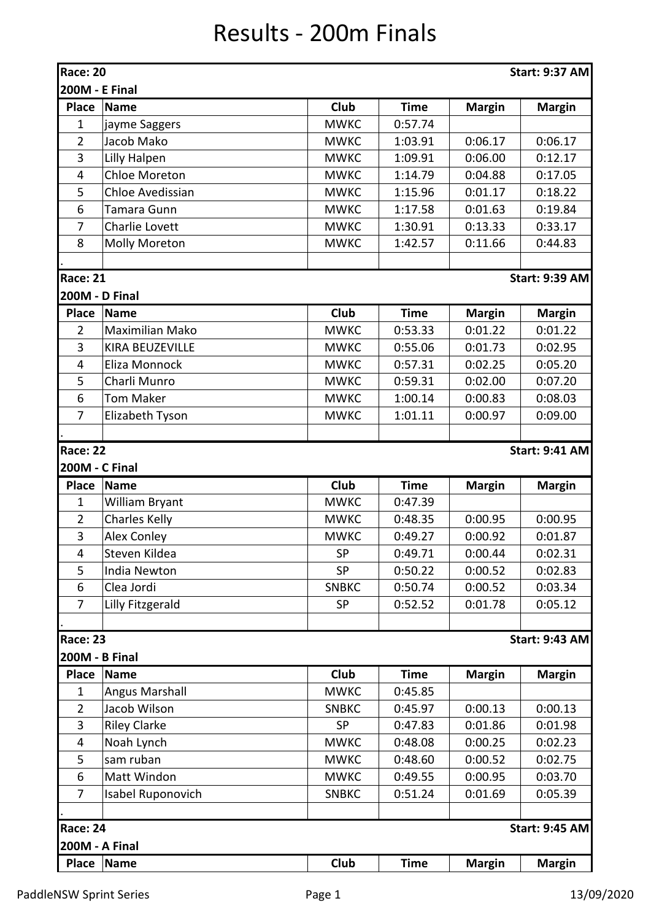## Results - 200m Finals

| Race: 20                                 |                                      |                          |             |               | <b>Start: 9:37 AM</b> |  |  |  |  |
|------------------------------------------|--------------------------------------|--------------------------|-------------|---------------|-----------------------|--|--|--|--|
| <b>200M - E Final</b>                    |                                      |                          |             |               |                       |  |  |  |  |
| <b>Place</b>                             | Name                                 | Club                     | <b>Time</b> | <b>Margin</b> | <b>Margin</b>         |  |  |  |  |
| 1                                        | jayme Saggers                        | <b>MWKC</b>              | 0:57.74     |               |                       |  |  |  |  |
| $\overline{2}$                           | Jacob Mako                           | <b>MWKC</b>              | 1:03.91     | 0:06.17       | 0:06.17               |  |  |  |  |
| 3                                        | Lilly Halpen                         | <b>MWKC</b>              | 1:09.91     | 0:06.00       | 0:12.17               |  |  |  |  |
| 4                                        | <b>Chloe Moreton</b>                 | <b>MWKC</b>              | 1:14.79     | 0:04.88       | 0:17.05               |  |  |  |  |
| 5                                        | <b>Chloe Avedissian</b>              | <b>MWKC</b>              | 1:15.96     | 0:01.17       | 0:18.22               |  |  |  |  |
| 6                                        | Tamara Gunn                          | <b>MWKC</b>              | 1:17.58     | 0:01.63       | 0:19.84               |  |  |  |  |
| $\overline{7}$                           | Charlie Lovett                       | <b>MWKC</b>              | 1:30.91     | 0:13.33       | 0:33.17               |  |  |  |  |
| 8                                        | <b>Molly Moreton</b>                 | <b>MWKC</b>              | 1:42.57     | 0:11.66       | 0:44.83               |  |  |  |  |
|                                          |                                      |                          |             |               |                       |  |  |  |  |
| <b>Race: 21</b>                          |                                      |                          |             |               | <b>Start: 9:39 AM</b> |  |  |  |  |
|                                          | <b>200M - D Final</b>                |                          |             |               |                       |  |  |  |  |
| <b>Place</b>                             | <b>Name</b>                          | Club                     | <b>Time</b> | <b>Margin</b> | <b>Margin</b>         |  |  |  |  |
| $\overline{2}$                           | Maximilian Mako                      | <b>MWKC</b>              | 0:53.33     | 0:01.22       | 0:01.22               |  |  |  |  |
| 3                                        | <b>KIRA BEUZEVILLE</b>               | <b>MWKC</b>              | 0:55.06     | 0:01.73       | 0:02.95               |  |  |  |  |
| 4                                        | Eliza Monnock                        | <b>MWKC</b>              | 0:57.31     | 0:02.25       | 0:05.20               |  |  |  |  |
| 5                                        | Charli Munro                         | <b>MWKC</b>              | 0:59.31     | 0:02.00       | 0:07.20               |  |  |  |  |
| 6                                        | <b>Tom Maker</b>                     | <b>MWKC</b>              | 1:00.14     | 0:00.83       | 0:08.03               |  |  |  |  |
| $\overline{7}$                           | Elizabeth Tyson                      | <b>MWKC</b>              | 1:01.11     | 0:00.97       | 0:09.00               |  |  |  |  |
|                                          |                                      |                          |             |               |                       |  |  |  |  |
| <b>Race: 22</b>                          |                                      |                          |             |               | <b>Start: 9:41 AM</b> |  |  |  |  |
| 200M - C Final<br><b>Place</b>           | Name                                 | Club                     | <b>Time</b> |               |                       |  |  |  |  |
| $\mathbf{1}$                             |                                      | <b>MWKC</b>              | 0:47.39     | <b>Margin</b> | <b>Margin</b>         |  |  |  |  |
| $\overline{2}$                           | William Bryant                       | <b>MWKC</b>              | 0:48.35     | 0:00.95       | 0:00.95               |  |  |  |  |
| $\mathbf{3}$                             | <b>Charles Kelly</b>                 |                          |             | 0:00.92       |                       |  |  |  |  |
|                                          | <b>Alex Conley</b>                   | <b>MWKC</b><br><b>SP</b> | 0:49.27     |               | 0:01.87               |  |  |  |  |
| 4                                        | Steven Kildea<br><b>India Newton</b> | <b>SP</b>                | 0:49.71     | 0:00.44       | 0:02.31               |  |  |  |  |
| 5                                        |                                      | <b>SNBKC</b>             | 0:50.22     | 0:00.52       | 0:02.83               |  |  |  |  |
| 6<br>$\overline{7}$                      | Clea Jordi                           | <b>SP</b>                | 0:50.74     | 0:00.52       | 0:03.34<br>0:05.12    |  |  |  |  |
|                                          | Lilly Fitzgerald                     |                          | 0:52.52     | 0:01.78       |                       |  |  |  |  |
| <b>Race: 23</b>                          |                                      |                          |             |               | <b>Start: 9:43 AM</b> |  |  |  |  |
| <b>200M - B Final</b>                    |                                      |                          |             |               |                       |  |  |  |  |
| <b>Place</b>                             | <b>Name</b>                          | <b>Club</b>              | <b>Time</b> | <b>Margin</b> | <b>Margin</b>         |  |  |  |  |
| $\mathbf{1}$                             | <b>Angus Marshall</b>                | <b>MWKC</b>              | 0:45.85     |               |                       |  |  |  |  |
| $\overline{2}$                           | Jacob Wilson                         | <b>SNBKC</b>             | 0:45.97     | 0:00.13       | 0:00.13               |  |  |  |  |
| 3                                        | <b>Riley Clarke</b>                  | <b>SP</b>                | 0:47.83     | 0:01.86       | 0:01.98               |  |  |  |  |
| 4                                        | Noah Lynch                           | <b>MWKC</b>              | 0:48.08     | 0:00.25       | 0:02.23               |  |  |  |  |
| 5                                        | sam ruban                            | <b>MWKC</b>              | 0:48.60     | 0:00.52       | 0:02.75               |  |  |  |  |
| 6                                        | Matt Windon                          | <b>MWKC</b>              | 0:49.55     | 0:00.95       | 0:03.70               |  |  |  |  |
| 7                                        | Isabel Ruponovich                    | <b>SNBKC</b>             | 0:51.24     | 0:01.69       | 0:05.39               |  |  |  |  |
|                                          |                                      |                          |             |               |                       |  |  |  |  |
| <b>Race: 24</b><br><b>Start: 9:45 AM</b> |                                      |                          |             |               |                       |  |  |  |  |
|                                          | <b>200M - A Final</b>                |                          |             |               |                       |  |  |  |  |
| <b>Place</b>                             | Name                                 | <b>Club</b>              | <b>Time</b> | <b>Margin</b> | <b>Margin</b>         |  |  |  |  |